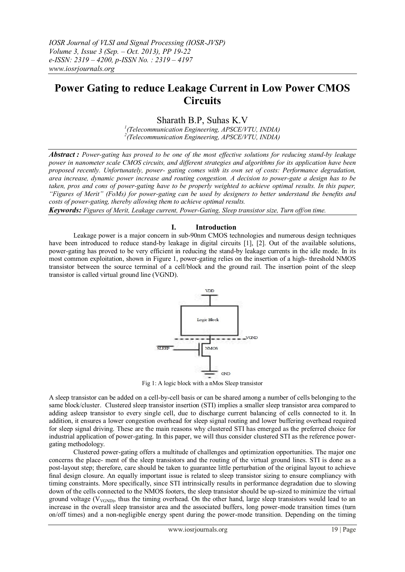# **Power Gating to reduce Leakage Current in Low Power CMOS Circuits**

Sharath B.P, Suhas K.V

*1 (Telecommunication Engineering, APSCE/VTU, INDIA) 2 (Telecommunication Engineering, APSCE/VTU, INDIA)*

*Abstract : Power-gating has proved to be one of the most effective solutions for reducing stand-by leakage power in nanometer scale CMOS circuits, and different strategies and algorithms for its application have been proposed recently. Unfortunately, power- gating comes with its own set of costs: Performance degradation, area increase, dynamic power increase and routing congestion. A decision to power-gate a design has to be taken, pros and cons of power-gating have to be properly weighted to achieve optimal results. In this paper, "Figures of Merit" (FoMs) for power-gating can be used by designers to better understand the benefits and costs of power-gating, thereby allowing them to achieve optimal results.*

*Keywords: Figures of Merit, Leakage current, Power-Gating, Sleep transistor size, Turn off/on time.*

## **I. Introduction**

Leakage power is a major concern in sub-90nm CMOS technologies and numerous design techniques have been introduced to reduce stand-by leakage in digital circuits [1], [2]. Out of the available solutions, power-gating has proved to be very efficient in reducing the stand-by leakage currents in the idle mode. In its most common exploitation, shown in Figure 1, power-gating relies on the insertion of a high- threshold NMOS transistor between the source terminal of a cell/block and the ground rail. The insertion point of the sleep transistor is called virtual ground line (VGND).



Fig 1: A logic block with a nMos Sleep transistor

A sleep transistor can be added on a cell-by-cell basis or can be shared among a number of cells belonging to the same block/cluster. Clustered sleep transistor insertion (STI) implies a smaller sleep transistor area compared to adding asleep transistor to every single cell, due to discharge current balancing of cells connected to it. In addition, it ensures a lower congestion overhead for sleep signal routing and lower buffering overhead required for sleep signal driving. These are the main reasons why clustered STI has emerged as the preferred choice for industrial application of power-gating. In this paper, we will thus consider clustered STI as the reference powergating methodology.

Clustered power-gating offers a multitude of challenges and optimization opportunities. The major one concerns the place- ment of the sleep transistors and the routing of the virtual ground lines. STI is done as a post-layout step; therefore, care should be taken to guarantee little perturbation of the original layout to achieve final design closure. An equally important issue is related to sleep transistor sizing to ensure compliancy with timing constraints. More specifically, since STI intrinsically results in performance degradation due to slowing down of the cells connected to the NMOS footers, the sleep transistor should be up-sized to minimize the virtual ground voltage ( $V_{V\text{GND}}$ ), thus the timing overhead. On the other hand, large sleep transistors would lead to an increase in the overall sleep transistor area and the associated buffers, long power-mode transition times (turn on/off times) and a non-negligible energy spent during the power-mode transition. Depending on the timing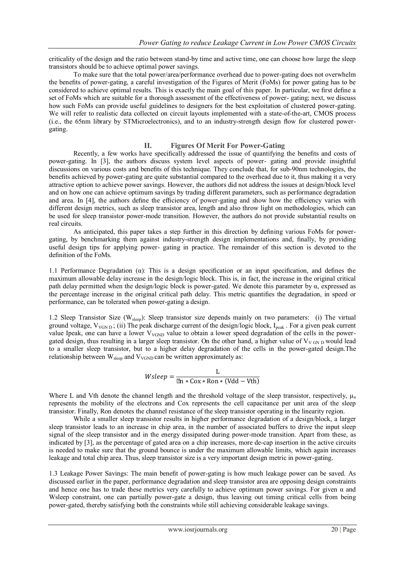criticality of the design and the ratio between stand-by time and active time, one can choose how large the sleep transistors should be to achieve optimal power savings.

To make sure that the total power/area/performance overhead due to power-gating does not overwhelm the benefits of power-gating, a careful investigation of the Figures of Merit (FoMs) for power gating has to be considered to achieve optimal results. This is exactly the main goal of this paper. In particular, we first define a set of FoMs which are suitable for a thorough assessment of the effectiveness of power- gating; next, we discuss how such FoMs can provide useful guidelines to designers for the best exploitation of clustered power-gating. We will refer to realistic data collected on circuit layouts implemented with a state-of-the-art, CMOS process (i.e., the 65nm library by STMicroelectronics), and to an industry-strength design flow for clustered powergating.

## **II. Figures Of Merit For Power-Gating**

Recently, a few works have specifically addressed the issue of quantifying the benefits and costs of power-gating. In [3], the authors discuss system level aspects of power- gating and provide insightful discussions on various costs and benefits of this technique. They conclude that, for sub-90nm technologies, the benefits achieved by power-gating are quite substantial compared to the overhead due to it, thus making it a very attractive option to achieve power savings. However, the authors did not address the issues at design/block level and on how one can achieve optimum savings by trading different parameters, such as performance degradation and area. In [4], the authors define the efficiency of power-gating and show how the efficiency varies with different design metrics, such as sleep transistor area, length and also throw light on methodologies, which can be used for sleep transistor power-mode transition. However, the authors do not provide substantial results on real circuits.

As anticipated, this paper takes a step further in this direction by defining various FoMs for powergating, by benchmarking them against industry-strength design implementations and, finally, by providing useful design tips for applying power- gating in practice. The remainder of this section is devoted to the definition of the FoMs.

1.1 Performance Degradation (α): This is a design specification or an input specification, and defines the maximum allowable delay increase in the design/logic block. This is, in fact, the increase in the original critical path delay permitted when the design/logic block is power-gated. We denote this parameter by  $\alpha$ , expressed as the percentage increase in the original critical path delay. This metric quantifies the degradation, in speed or performance, can be tolerated when power-gating a design.

1.2 Sleep Transistor Size (Wsleep): Sleep transistor size depends mainly on two parameters: (i) The virtual ground voltage,  $V_{VGN D}$ ; (ii) The peak discharge current of the design/logic block,  $I_{peak}$ . For a given peak current value Ipeak, one can have a lower  $V_{VGND}$  value to obtain a lower speed degradation of the cells in the powergated design, thus resulting in a larger sleep transistor. On the other hand, a higher value of  $V_{V \text{ GN } D}$  would lead to a smaller sleep transistor, but to a higher delay degradation of the cells in the power-gated design.The relationship between  $W_{sleep}$  and  $V_{VGND}$  can be written approximately as:

$$
Wsleep = \frac{L}{\mu n * Cox * Ron * (Vdd - Vth)}
$$

Where L and Vth denote the channel length and the threshold voltage of the sleep transistor, respectively,  $\mu_n$ represents the mobility of the electrons and Cox represents the cell capacitance per unit area of the sleep transistor. Finally, Ron denotes the channel resistance of the sleep transistor operating in the linearity region.

While a smaller sleep transistor results in higher performance degradation of a design/block, a larger sleep transistor leads to an increase in chip area, in the number of associated buffers to drive the input sleep signal of the sleep transistor and in the energy dissipated during power-mode transition. Apart from these, as indicated by [3], as the percentage of gated area on a chip increases, more de-cap insertion in the active circuits is needed to make sure that the ground bounce is under the maximum allowable limits, which again increases leakage and total chip area. Thus, sleep transistor size is a very important design metric in power-gating.

1.3 Leakage Power Savings: The main benefit of power-gating is how much leakage power can be saved. As discussed earlier in the paper, performance degradation and sleep transistor area are opposing design constraints and hence one has to trade these metrics very carefully to achieve optimum power savings. For given  $\alpha$  and Wsleep constraint, one can partially power-gate a design, thus leaving out timing critical cells from being power-gated, thereby satisfying both the constraints while still achieving considerable leakage savings.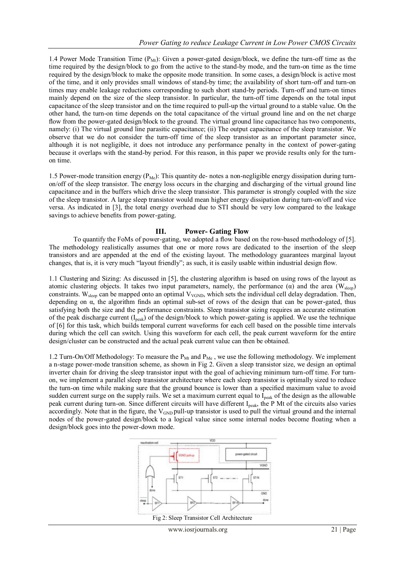1.4 Power Mode Transition Time  $(P_M_t)$ : Given a power-gated design/block, we define the turn-off time as the time required by the design/block to go from the active to the stand-by mode, and the turn-on time as the time required by the design/block to make the opposite mode transition. In some cases, a design/block is active most of the time, and it only provides small windows of stand-by time; the availability of short turn-off and turn-on times may enable leakage reductions corresponding to such short stand-by periods. Turn-off and turn-on times mainly depend on the size of the sleep transistor. In particular, the turn-off time depends on the total input capacitance of the sleep transistor and on the time required to pull-up the virtual ground to a stable value. On the other hand, the turn-on time depends on the total capacitance of the virtual ground line and on the net charge flow from the power-gated design/block to the ground. The virtual ground line capacitance has two components, namely: (i) The virtual ground line parasitic capacitance; (ii) The output capacitance of the sleep transistor. We observe that we do not consider the turn-off time of the sleep transistor as an important parameter since, although it is not negligible, it does not introduce any performance penalty in the context of power-gating because it overlaps with the stand-by period. For this reason, in this paper we provide results only for the turnon time.

1.5 Power-mode transition energy ( $P_{Me}$ ): This quantity de- notes a non-negligible energy dissipation during turnon/off of the sleep transistor. The energy loss occurs in the charging and discharging of the virtual ground line capacitance and in the buffers which drive the sleep transistor. This parameter is strongly coupled with the size of the sleep transistor. A large sleep transistor would mean higher energy dissipation during turn-on/off and vice versa. As indicated in [3], the total energy overhead due to STI should be very low compared to the leakage savings to achieve benefits from power-gating.

# **III. Power- Gating Flow**

To quantify the FoMs of power-gating, we adopted a flow based on the row-based methodology of [5]. The methodology realistically assumes that one or more rows are dedicated to the insertion of the sleep transistors and are appended at the end of the existing layout. The methodology guarantees marginal layout changes, that is, it is very much "layout friendly"; as such, it is easily usable within industrial design flow.

1.1 Clustering and Sizing: As discussed in [5], the clustering algorithm is based on using rows of the layout as atomic clustering objects. It takes two input parameters, namely, the performance  $(\alpha)$  and the area (W<sub>sleep</sub>) constraints. W<sub>sleep</sub> can be mapped onto an optimal V<sub>VGND</sub>, which sets the individual cell delay degradation. Then, depending on α, the algorithm finds an optimal sub-set of rows of the design that can be power-gated, thus satisfying both the size and the performance constraints. Sleep transistor sizing requires an accurate estimation of the peak discharge current  $(I_{peak})$  of the design/block to which power-gating is applied. We use the technique of [6] for this task, which builds temporal current waveforms for each cell based on the possible time intervals during which the cell can switch. Using this waveform for each cell, the peak current waveform for the entire design/cluster can be constructed and the actual peak current value can then be obtained.

1.2 Turn-On/Off Methodology: To measure the  $P_{Mt}$  and  $P_{Me}$ , we use the following methodology. We implement a n-stage power-mode transition scheme, as shown in Fig 2. Given a sleep transistor size, we design an optimal inverter chain for driving the sleep transistor input with the goal of achieving minimum turn-off time. For turnon, we implement a parallel sleep transistor architecture where each sleep transistor is optimally sized to reduce the turn-on time while making sure that the ground bounce is lower than a specified maximum value to avoid sudden current surge on the supply rails. We set a maximum current equal to I<sub>peak</sub> of the design as the allowable peak current during turn-on. Since different circuits will have different I<sub>peak</sub>, the P Mt of the circuits also varies accordingly. Note that in the figure, the  $V_{GND}$  pull-up transistor is used to pull the virtual ground and the internal nodes of the power-gated design/block to a logical value since some internal nodes become floating when a design/block goes into the power-down mode.



Fig 2: Sleep Transistor Cell Architecture